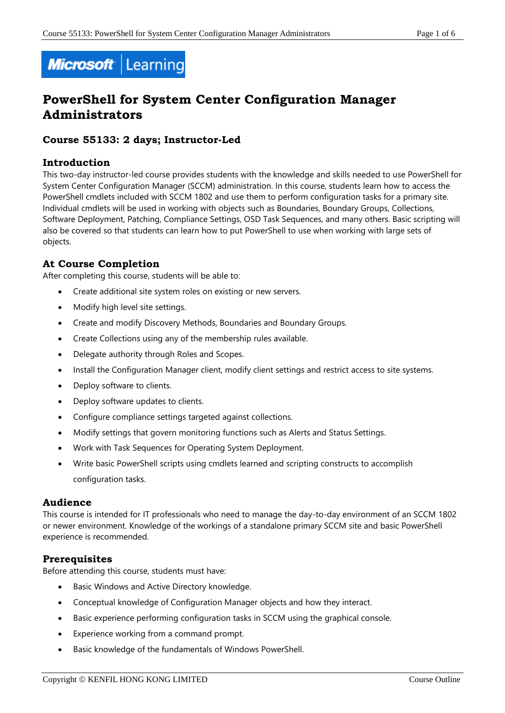

# **PowerShell for System Center Configuration Manager Administrators**

# **Course 55133: 2 days; Instructor-Led**

## **Introduction**

This two-day instructor-led course provides students with the knowledge and skills needed to use PowerShell for System Center Configuration Manager (SCCM) administration. In this course, students learn how to access the PowerShell cmdlets included with SCCM 1802 and use them to perform configuration tasks for a primary site. Individual cmdlets will be used in working with objects such as Boundaries, Boundary Groups, Collections, Software Deployment, Patching, Compliance Settings, OSD Task Sequences, and many others. Basic scripting will also be covered so that students can learn how to put PowerShell to use when working with large sets of objects.

# **At Course Completion**

After completing this course, students will be able to:

- Create additional site system roles on existing or new servers.
- Modify high level site settings.
- Create and modify Discovery Methods, Boundaries and Boundary Groups.
- Create Collections using any of the membership rules available.
- Delegate authority through Roles and Scopes.
- Install the Configuration Manager client, modify client settings and restrict access to site systems.
- Deploy software to clients.
- Deploy software updates to clients.
- Configure compliance settings targeted against collections.
- Modify settings that govern monitoring functions such as Alerts and Status Settings.
- Work with Task Sequences for Operating System Deployment.
- Write basic PowerShell scripts using cmdlets learned and scripting constructs to accomplish configuration tasks.

#### **Audience**

This course is intended for IT professionals who need to manage the day-to-day environment of an SCCM 1802 or newer environment. Knowledge of the workings of a standalone primary SCCM site and basic PowerShell experience is recommended.

# **Prerequisites**

Before attending this course, students must have:

- Basic Windows and Active Directory knowledge.
- Conceptual knowledge of Configuration Manager objects and how they interact.
- Basic experience performing configuration tasks in SCCM using the graphical console.
- Experience working from a command prompt.
- Basic knowledge of the fundamentals of Windows PowerShell.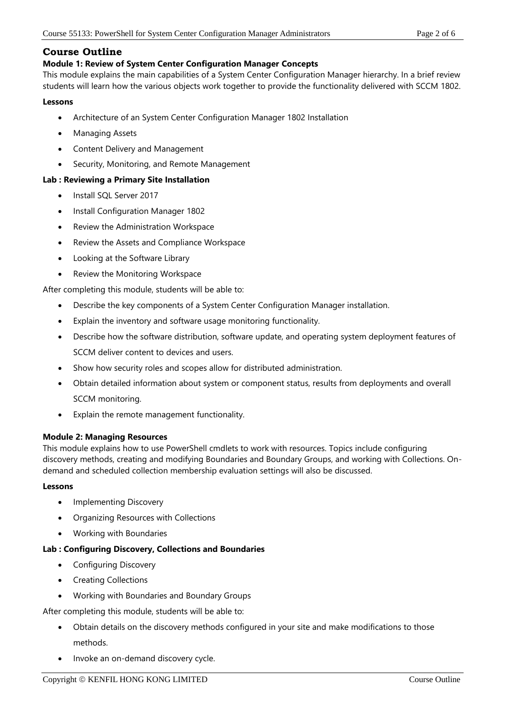# **Course Outline**

# **Module 1: Review of System Center Configuration Manager Concepts**

This module explains the main capabilities of a System Center Configuration Manager hierarchy. In a brief review students will learn how the various objects work together to provide the functionality delivered with SCCM 1802.

## **Lessons**

- Architecture of an System Center Configuration Manager 1802 Installation
- Managing Assets
- Content Delivery and Management
- Security, Monitoring, and Remote Management

# **Lab : Reviewing a Primary Site Installation**

- Install SQL Server 2017
- Install Configuration Manager 1802
- Review the Administration Workspace
- Review the Assets and Compliance Workspace
- Looking at the Software Library
- Review the Monitoring Workspace

After completing this module, students will be able to:

- Describe the key components of a System Center Configuration Manager installation.
- Explain the inventory and software usage monitoring functionality.
- Describe how the software distribution, software update, and operating system deployment features of SCCM deliver content to devices and users.
- Show how security roles and scopes allow for distributed administration.
- Obtain detailed information about system or component status, results from deployments and overall SCCM monitoring.
- Explain the remote management functionality.

# **Module 2: Managing Resources**

This module explains how to use PowerShell cmdlets to work with resources. Topics include configuring discovery methods, creating and modifying Boundaries and Boundary Groups, and working with Collections. Ondemand and scheduled collection membership evaluation settings will also be discussed.

#### **Lessons**

- Implementing Discovery
- Organizing Resources with Collections
- Working with Boundaries

# **Lab : Configuring Discovery, Collections and Boundaries**

- Configuring Discovery
- Creating Collections
- Working with Boundaries and Boundary Groups

After completing this module, students will be able to:

- Obtain details on the discovery methods configured in your site and make modifications to those methods.
- Invoke an on-demand discovery cycle.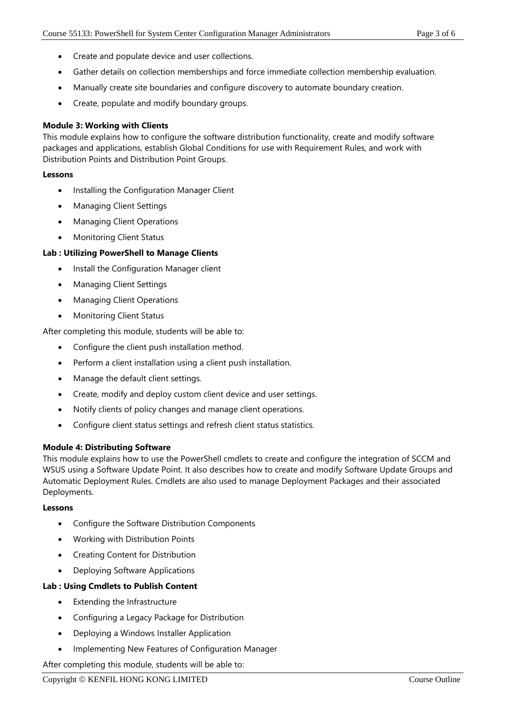- Create and populate device and user collections.
- Gather details on collection memberships and force immediate collection membership evaluation.
- Manually create site boundaries and configure discovery to automate boundary creation.
- Create, populate and modify boundary groups.

## **Module 3: Working with Clients**

This module explains how to configure the software distribution functionality, create and modify software packages and applications, establish Global Conditions for use with Requirement Rules, and work with Distribution Points and Distribution Point Groups.

#### **Lessons**

- Installing the Configuration Manager Client
- Managing Client Settings
- Managing Client Operations
- Monitoring Client Status

## **Lab : Utilizing PowerShell to Manage Clients**

- Install the Configuration Manager client
- Managing Client Settings
- Managing Client Operations
- Monitoring Client Status

After completing this module, students will be able to:

- Configure the client push installation method.
- Perform a client installation using a client push installation.
- Manage the default client settings.
- Create, modify and deploy custom client device and user settings.
- Notify clients of policy changes and manage client operations.
- Configure client status settings and refresh client status statistics.

#### **Module 4: Distributing Software**

This module explains how to use the PowerShell cmdlets to create and configure the integration of SCCM and WSUS using a Software Update Point. It also describes how to create and modify Software Update Groups and Automatic Deployment Rules. Cmdlets are also used to manage Deployment Packages and their associated Deployments.

#### **Lessons**

- Configure the Software Distribution Components
- Working with Distribution Points
- Creating Content for Distribution
- Deploying Software Applications

#### **Lab : Using Cmdlets to Publish Content**

- Extending the Infrastructure
- Configuring a Legacy Package for Distribution
- Deploying a Windows Installer Application
- Implementing New Features of Configuration Manager

After completing this module, students will be able to: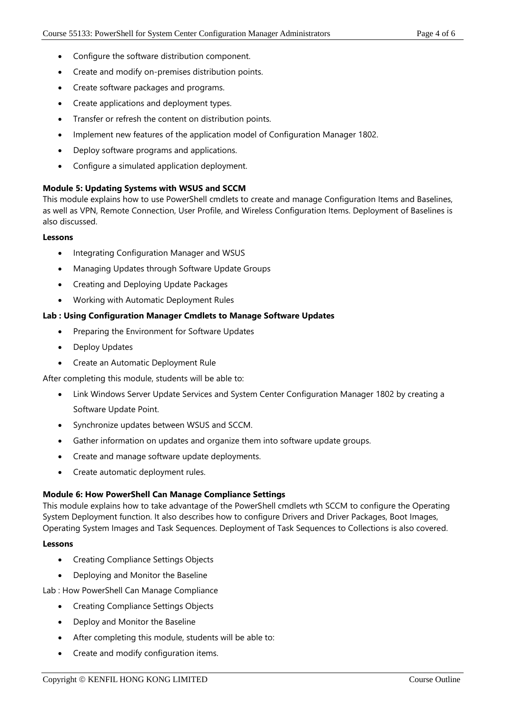- Configure the software distribution component.
- Create and modify on-premises distribution points.
- Create software packages and programs.
- Create applications and deployment types.
- Transfer or refresh the content on distribution points.
- Implement new features of the application model of Configuration Manager 1802.
- Deploy software programs and applications.
- Configure a simulated application deployment.

## **Module 5: Updating Systems with WSUS and SCCM**

This module explains how to use PowerShell cmdlets to create and manage Configuration Items and Baselines, as well as VPN, Remote Connection, User Profile, and Wireless Configuration Items. Deployment of Baselines is also discussed.

#### **Lessons**

- Integrating Configuration Manager and WSUS
- Managing Updates through Software Update Groups
- Creating and Deploying Update Packages
- Working with Automatic Deployment Rules

#### **Lab : Using Configuration Manager Cmdlets to Manage Software Updates**

- Preparing the Environment for Software Updates
- Deploy Updates
- Create an Automatic Deployment Rule

After completing this module, students will be able to:

- Link Windows Server Update Services and System Center Configuration Manager 1802 by creating a Software Update Point.
- Synchronize updates between WSUS and SCCM.
- Gather information on updates and organize them into software update groups.
- Create and manage software update deployments.
- Create automatic deployment rules.

#### **Module 6: How PowerShell Can Manage Compliance Settings**

This module explains how to take advantage of the PowerShell cmdlets wth SCCM to configure the Operating System Deployment function. It also describes how to configure Drivers and Driver Packages, Boot Images, Operating System Images and Task Sequences. Deployment of Task Sequences to Collections is also covered.

#### **Lessons**

- Creating Compliance Settings Objects
- Deploying and Monitor the Baseline

Lab : How PowerShell Can Manage Compliance

- Creating Compliance Settings Objects
- Deploy and Monitor the Baseline
- After completing this module, students will be able to:
- Create and modify configuration items.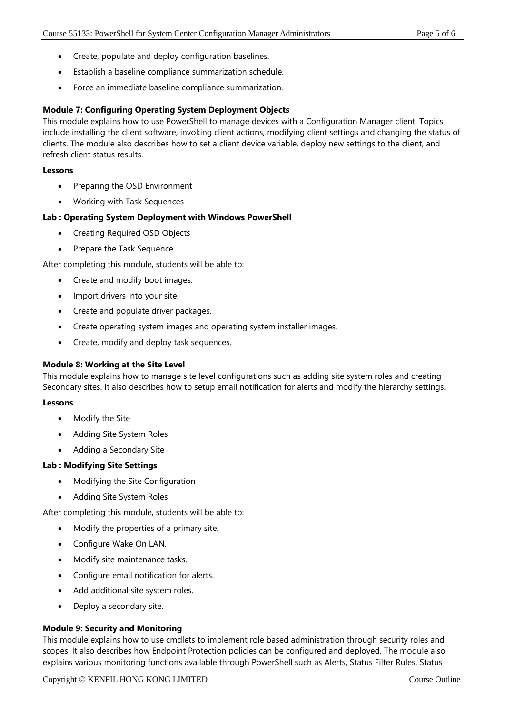- Create, populate and deploy configuration baselines.
- Establish a baseline compliance summarization schedule.
- Force an immediate baseline compliance summarization.

## **Module 7: Configuring Operating System Deployment Objects**

This module explains how to use PowerShell to manage devices with a Configuration Manager client. Topics include installing the client software, invoking client actions, modifying client settings and changing the status of clients. The module also describes how to set a client device variable, deploy new settings to the client, and refresh client status results.

#### **Lessons**

- Preparing the OSD Environment
- Working with Task Sequences

## **Lab : Operating System Deployment with Windows PowerShell**

- Creating Required OSD Objects
- Prepare the Task Sequence

After completing this module, students will be able to:

- Create and modify boot images.
- Import drivers into your site.
- Create and populate driver packages.
- Create operating system images and operating system installer images.
- Create, modify and deploy task sequences.

#### **Module 8: Working at the Site Level**

This module explains how to manage site level configurations such as adding site system roles and creating Secondary sites. It also describes how to setup email notification for alerts and modify the hierarchy settings.

#### **Lessons**

- Modify the Site
- Adding Site System Roles
- Adding a Secondary Site

#### **Lab : Modifying Site Settings**

- Modifying the Site Configuration
- Adding Site System Roles

After completing this module, students will be able to:

- Modify the properties of a primary site.
- Configure Wake On LAN.
- Modify site maintenance tasks.
- Configure email notification for alerts.
- Add additional site system roles.
- Deploy a secondary site.

#### **Module 9: Security and Monitoring**

This module explains how to use cmdlets to implement role based administration through security roles and scopes. It also describes how Endpoint Protection policies can be configured and deployed. The module also explains various monitoring functions available through PowerShell such as Alerts, Status Filter Rules, Status